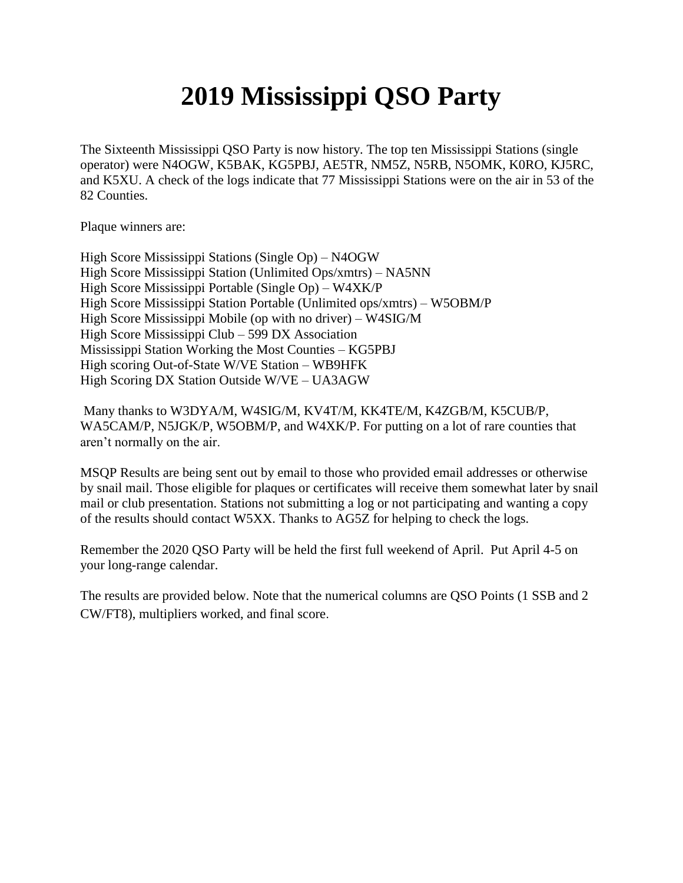## **2019 Mississippi QSO Party**

The Sixteenth Mississippi QSO Party is now history. The top ten Mississippi Stations (single operator) were N4OGW, K5BAK, KG5PBJ, AE5TR, NM5Z, N5RB, N5OMK, K0RO, KJ5RC, and K5XU. A check of the logs indicate that 77 Mississippi Stations were on the air in 53 of the 82 Counties.

Plaque winners are:

High Score Mississippi Stations (Single Op) – N4OGW High Score Mississippi Station (Unlimited Ops/xmtrs) – NA5NN High Score Mississippi Portable (Single Op) – W4XK/P High Score Mississippi Station Portable (Unlimited ops/xmtrs) – W5OBM/P High Score Mississippi Mobile (op with no driver) – W4SIG/M High Score Mississippi Club – 599 DX Association Mississippi Station Working the Most Counties – KG5PBJ High scoring Out-of-State W/VE Station – WB9HFK High Scoring DX Station Outside W/VE – UA3AGW

Many thanks to W3DYA/M, W4SIG/M, KV4T/M, KK4TE/M, K4ZGB/M, K5CUB/P, WA5CAM/P, N5JGK/P, W5OBM/P, and W4XK/P. For putting on a lot of rare counties that aren't normally on the air.

MSQP Results are being sent out by email to those who provided email addresses or otherwise by snail mail. Those eligible for plaques or certificates will receive them somewhat later by snail mail or club presentation. Stations not submitting a log or not participating and wanting a copy of the results should contact W5XX. Thanks to AG5Z for helping to check the logs.

Remember the 2020 QSO Party will be held the first full weekend of April. Put April 4-5 on your long-range calendar.

The results are provided below. Note that the numerical columns are QSO Points (1 SSB and 2 CW/FT8), multipliers worked, and final score.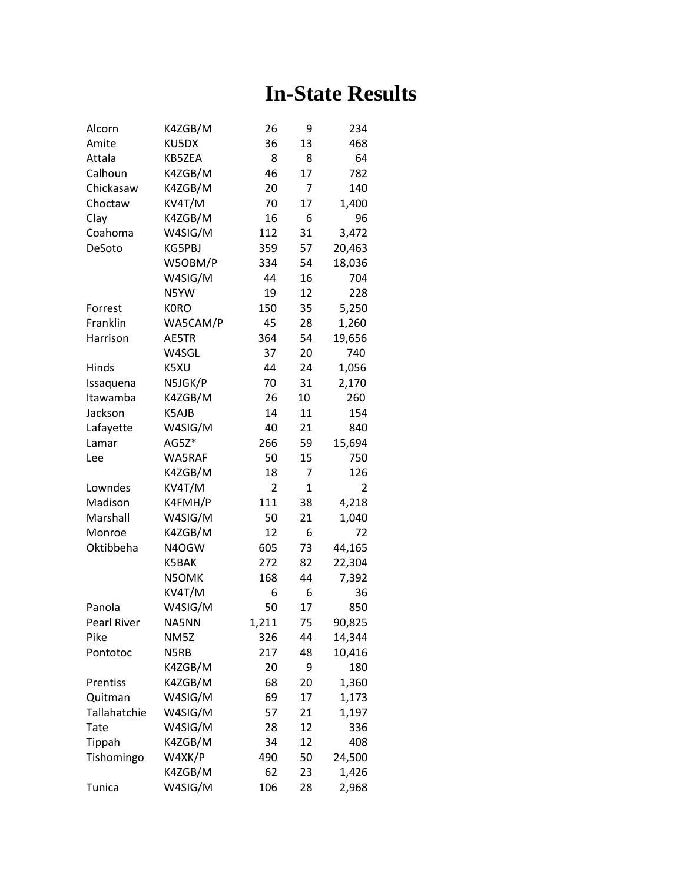## **In-State Results**

| Alcorn       |             | 26             |              |        |
|--------------|-------------|----------------|--------------|--------|
|              | K4ZGB/M     |                | 9            | 234    |
| Amite        | KU5DX       | 36             | 13           | 468    |
| Attala       | KB5ZEA      | 8              | 8            | 64     |
| Calhoun      | K4ZGB/M     | 46             | 17           | 782    |
| Chickasaw    | K4ZGB/M     | 20             | 7            | 140    |
| Choctaw      | KV4T/M      | 70             | 17           | 1,400  |
| Clay         | K4ZGB/M     | 16             | 6            | 96     |
| Coahoma      | W4SIG/M     | 112            | 31           | 3,472  |
| DeSoto       | KG5PBJ      | 359            | 57           | 20,463 |
|              | W5OBM/P     | 334            | 54           | 18,036 |
|              | W4SIG/M     | 44             | 16           | 704    |
|              | N5YW        | 19             | 12           | 228    |
| Forrest      | <b>KORO</b> | 150            | 35           | 5,250  |
| Franklin     | WA5CAM/P    | 45             | 28           | 1,260  |
| Harrison     | AE5TR       | 364            | 54           | 19,656 |
|              | W4SGL       | 37             | 20           | 740    |
| Hinds        | K5XU        | 44             | 24           | 1,056  |
| Issaquena    | N5JGK/P     | 70             | 31           | 2,170  |
| Itawamba     | K4ZGB/M     | 26             | 10           | 260    |
| Jackson      | K5AJB       | 14             | 11           | 154    |
| Lafayette    | W4SIG/M     | 40             | 21           | 840    |
| Lamar        | AG5Z*       | 266            | 59           | 15,694 |
| Lee          | WA5RAF      | 50             | 15           | 750    |
|              | K4ZGB/M     | 18             | 7            | 126    |
| Lowndes      | KV4T/M      | $\overline{2}$ | $\mathbf{1}$ | 2      |
| Madison      | K4FMH/P     | 111            | 38           | 4,218  |
| Marshall     | W4SIG/M     | 50             | 21           | 1,040  |
| Monroe       | K4ZGB/M     | 12             | 6            | 72     |
| Oktibbeha    | N4OGW       | 605            | 73           | 44,165 |
|              | K5BAK       | 272            | 82           | 22,304 |
|              | N5OMK       | 168            | 44           | 7,392  |
|              | KV4T/M      | 6              | 6            | 36     |
| Panola       | W4SIG/M     | 50             | 17           | 850    |
| Pearl River  | NA5NN       | 1,211          | 75           | 90,825 |
| Pike         | NM5Z        | 326            | 44           | 14,344 |
| Pontotoc     | N5RB        | 217            | 48           | 10,416 |
|              | K4ZGB/M     | 20             | 9            | 180    |
| Prentiss     | K4ZGB/M     | 68             | 20           | 1,360  |
| Quitman      | W4SIG/M     | 69             | 17           | 1,173  |
| Tallahatchie | W4SIG/M     | 57             | 21           | 1,197  |
| Tate         | W4SIG/M     | 28             | 12           | 336    |
| Tippah       | K4ZGB/M     | 34             | 12           | 408    |
| Tishomingo   | W4XK/P      | 490            | 50           | 24,500 |
|              | K4ZGB/M     | 62             | 23           | 1,426  |
| Tunica       | W4SIG/M     | 106            | 28           | 2,968  |
|              |             |                |              |        |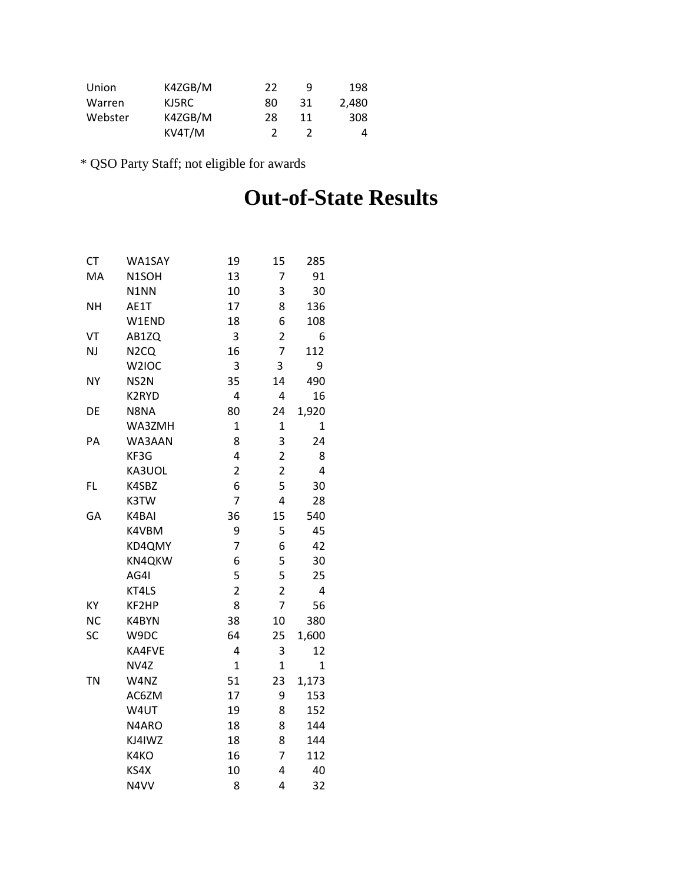| Union   | K4ZGB/M | 22 | q  | 198   |
|---------|---------|----|----|-------|
| Warren  | KJ5RC.  | 80 | 31 | 2.480 |
| Webster | K4ZGB/M | 28 | 11 | 308   |
|         | KV4T/M  |    |    |       |

\* QSO Party Staff; not eligible for awards

## **Out-of-State Results**

| СT        | WA1SAY             | 19                      | 15                      | 285          |
|-----------|--------------------|-------------------------|-------------------------|--------------|
| MA        | N1SOH              | 13                      | 7                       | 91           |
|           | N1NN               | 10                      | 3                       | 30           |
| <b>NH</b> | AE1T               | 17                      | 8                       | 136          |
|           | W1END              | 18                      | 6                       | 108          |
| VT        | AB1ZQ              | 3                       | $\overline{\mathbf{c}}$ | 6            |
| NJ        | N <sub>2</sub> CQ  | 16                      | 7                       | 112          |
|           | W <sub>2</sub> IOC | 3                       | 3                       | 9            |
| NΥ        | NS <sub>2</sub> N  | 35                      | 14                      | 490          |
|           | K2RYD              | 4                       | 4                       | 16           |
| DE        | N8NA               | 80                      | 24                      | 1,920        |
|           | WA3ZMH             | $\mathbf{1}$            | $\mathbf 1$             | 1            |
| PA        | WA3AAN             | 8                       | 3                       | 24           |
|           | KF3G               | $\overline{4}$          | $\overline{\mathbf{c}}$ | 8            |
|           | KA3UOL             | $\overline{2}$          | $\overline{2}$          | 4            |
| FL        | K4SBZ              | 6                       | 5                       | 30           |
|           | K3TW               | $\overline{7}$          | 4                       | 28           |
| GA        | K4BAI              | 36                      | 15                      | 540          |
|           | K4VBM              | 9                       | 5                       | 45           |
|           | KD4QMY             | 7                       | 6                       | 42           |
|           | KN4QKW             | 6                       | 5                       | 30           |
|           | AG4I               | 5                       | 5                       | 25           |
|           | KT4LS              | $\overline{\mathbf{c}}$ | $\overline{2}$          | 4            |
| KY        | KF2HP              | 8                       | $\overline{7}$          | 56           |
| <b>NC</b> | K4BYN              | 38                      | 10                      | 380          |
| SC        | W9DC               | 64                      | 25                      | 1,600        |
|           | KA4FVE             | 4                       | 3                       | 12           |
|           | NV4Z               | $\overline{1}$          | $\overline{1}$          | $\mathbf{1}$ |
| <b>TN</b> | W4NZ               | 51                      | 23                      | 1,173        |
|           | AC6ZM              | 17                      | 9                       | 153          |
|           | W4UT               | 19                      | 8                       | 152          |
|           | N4ARO              | 18                      | 8                       | 144          |
|           | KJ4IWZ             | 18                      | 8                       | 144          |
|           | K4KO               | 16                      | $\overline{7}$          | 112          |
|           | KS4X               | 10                      | 4                       | 40           |
|           | N4VV               | 8                       | 4                       | 32           |
|           |                    |                         |                         |              |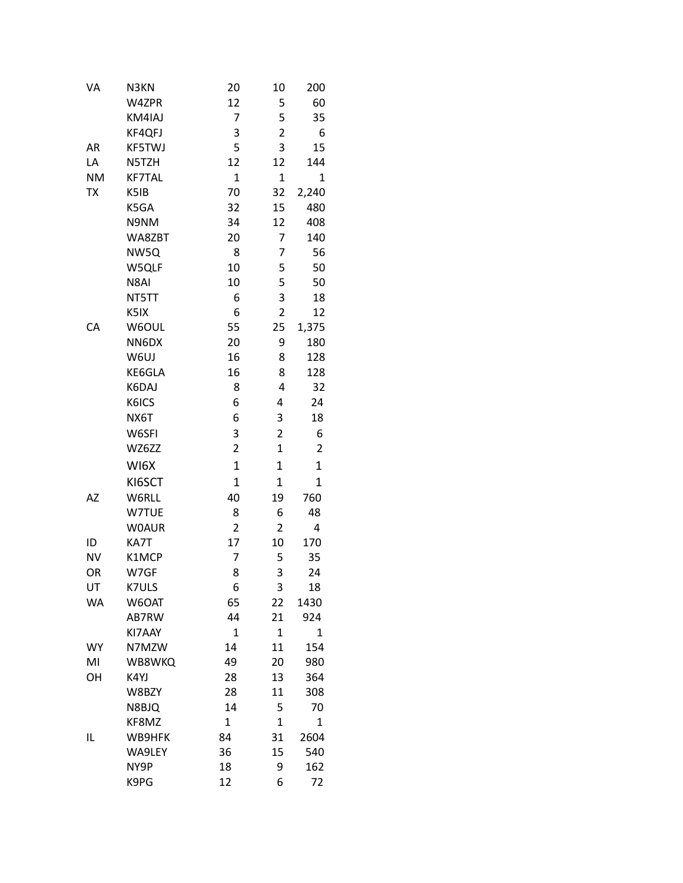| VA        | N3KN          | 20                      | 10             | 200            |
|-----------|---------------|-------------------------|----------------|----------------|
|           | W4ZPR         | 12                      | 5              | 60             |
|           | KM4IAJ        | 7                       | 5              | 35             |
|           | KF4QFJ        | 3                       | $\overline{2}$ | 6              |
| AR        | <b>KF5TWJ</b> | 5                       | 3              | 15             |
| LA        | N5TZH         | 12                      | 12             | 144            |
| <b>NM</b> | <b>KF7TAL</b> | $\mathbf 1$             | $\mathbf{1}$   | $\mathbf{1}$   |
| <b>TX</b> | K5IB          | 70                      | 32             | 2,240          |
|           | K5GA          | 32                      | 15             | 480            |
|           | N9NM          | 34                      | 12             | 408            |
|           | WA8ZBT        | 20                      | 7              | 140            |
|           | NW5Q          | 8                       | 7              | 56             |
|           | W5QLF         | 10                      | 5              | 50             |
|           | N8AI          | 10                      | 5              | 50             |
|           | NT5TT         | 6                       | 3              | 18             |
|           | K5IX          | 6                       | $\overline{2}$ | 12             |
| СA        | W6OUL         | 55                      | 25             | 1,375          |
|           | NN6DX         | 20                      | 9              | 180            |
|           | W6UJ          | 16                      | 8              | 128            |
|           | KE6GLA        | 16                      | 8              | 128            |
|           | K6DAJ         | 8                       | 4              | 32             |
|           | K6ICS         | 6                       | 4              | 24             |
|           | NX6T          | 6                       | 3              | 18             |
|           | W6SFI         | 3                       | $\overline{2}$ | 6              |
|           | WZ6ZZ         | $\overline{\mathbf{c}}$ | $\mathbf{1}$   | 2              |
|           | WI6X          | $\mathbf{1}$            | 1              | 1              |
|           | KI6SCT        | $\overline{1}$          | 1              | $\overline{1}$ |
| AΖ        | W6RLL         | 40                      | 19             | 760            |
|           | W7TUE         | 8                       | 6              | 48             |
|           | <b>WOAUR</b>  | $\overline{2}$          | 2              | 4              |
| ID        | KA7T          | 17                      | 10             | 170            |
| <b>NV</b> | K1MCP         | 7                       | 5              | 35             |
| OR        | W7GF          | 8                       | 3              | 24             |
| UT        | K7ULS         | 6                       | 3              | 18             |
| <b>WA</b> | W6OAT         | 65                      | 22             | 1430           |
|           | AB7RW         | 44                      | 21             | 924            |
|           | KI7AAY        | $\mathbf{1}$            | $\mathbf{1}$   | 1              |
| <b>WY</b> | N7MZW         | 14                      | 11             | 154            |
| MI        | WB8WKQ        | 49                      | 20             | 980            |
| OН        | K4YJ          | 28                      | 13             | 364            |
|           | W8BZY         | 28                      | 11             | 308            |
|           | N8BJQ         | 14                      | 5              | 70             |
|           | KF8MZ         | $\mathbf{1}$            | $\mathbf{1}$   | $\mathbf{1}$   |
| IL        | WB9HFK        | 84                      | 31             | 2604           |
|           | WA9LEY        | 36                      | 15             | 540            |
|           | NY9P          | 18                      | 9              | 162            |
|           | K9PG          | 12                      | 6              | 72             |